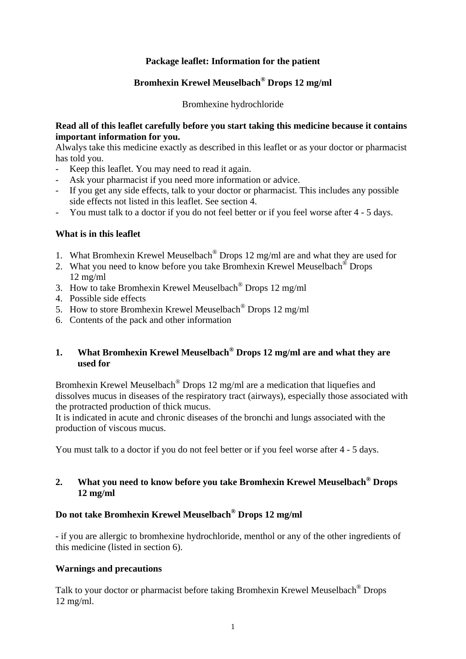## **Package leaflet: Information for the patient**

## **Bromhexin Krewel Meuselbach® Drops 12 mg/ml**

Bromhexine hydrochloride

#### **Read all of this leaflet carefully before you start taking this medicine because it contains important information for you.**

Alwalys take this medicine exactly as described in this leaflet or as your doctor or pharmacist has told you.

- Keep this leaflet. You may need to read it again.
- Ask your pharmacist if you need more information or advice.
- If you get any side effects, talk to your doctor or pharmacist. This includes any possible side effects not listed in this leaflet. See section 4.
- You must talk to a doctor if you do not feel better or if you feel worse after 4 5 days.

#### **What is in this leaflet**

- 1. What Bromhexin Krewel Meuselbach® Drops 12 mg/ml are and what they are used for
- 2. What you need to know before you take Bromhexin Krewel Meuselbach<sup>®</sup> Drops 12 mg/ml
- 3. How to take Bromhexin Krewel Meuselbach® Drops 12 mg/ml
- 4. Possible side effects
- 5. How to store Bromhexin Krewel Meuselbach® Drops 12 mg/ml
- 6. Contents of the pack and other information

## **1. What Bromhexin Krewel Meuselbach® Drops 12 mg/ml are and what they are used for**

Bromhexin Krewel Meuselbach<sup>®</sup> Drops 12 mg/ml are a medication that liquefies and dissolves mucus in diseases of the respiratory tract (airways), especially those associated with the protracted production of thick mucus.

It is indicated in acute and chronic diseases of the bronchi and lungs associated with the production of viscous mucus.

You must talk to a doctor if you do not feel better or if you feel worse after 4 - 5 days.

## **2. What you need to know before you take Bromhexin Krewel Meuselbach® Drops 12 mg/ml**

## **Do not take Bromhexin Krewel Meuselbach® Drops 12 mg/ml**

- if you are allergic to bromhexine hydrochloride, menthol or any of the other ingredients of this medicine (listed in section 6).

#### **Warnings and precautions**

Talk to your doctor or pharmacist before taking Bromhexin Krewel Meuselbach® Drops 12 mg/ml.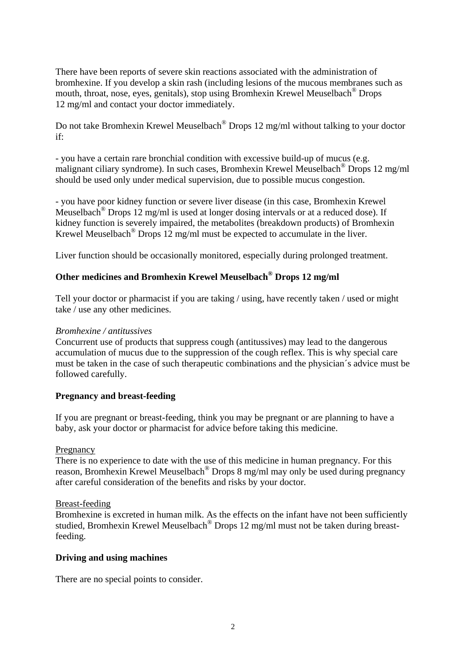There have been reports of severe skin reactions associated with the administration of bromhexine. If you develop a skin rash (including lesions of the mucous membranes such as mouth, throat, nose, eyes, genitals), stop using Bromhexin Krewel Meuselbach® Drops 12 mg/ml and contact your doctor immediately.

Do not take Bromhexin Krewel Meuselbach® Drops 12 mg/ml without talking to your doctor if:

- you have a certain rare bronchial condition with excessive build-up of mucus (e.g. malignant ciliary syndrome). In such cases, Bromhexin Krewel Meuselbach<sup>®</sup> Drops 12 mg/ml should be used only under medical supervision, due to possible mucus congestion.

- you have poor kidney function or severe liver disease (in this case, Bromhexin Krewel Meuselbach® Drops 12 mg/ml is used at longer dosing intervals or at a reduced dose). If kidney function is severely impaired, the metabolites (breakdown products) of Bromhexin Krewel Meuselbach® Drops 12 mg/ml must be expected to accumulate in the liver.

Liver function should be occasionally monitored, especially during prolonged treatment.

# **Other medicines and Bromhexin Krewel Meuselbach® Drops 12 mg/ml**

Tell your doctor or pharmacist if you are taking / using, have recently taken / used or might take / use any other medicines.

#### *Bromhexine / antitussives*

Concurrent use of products that suppress cough (antitussives) may lead to the dangerous accumulation of mucus due to the suppression of the cough reflex. This is why special care must be taken in the case of such therapeutic combinations and the physician´s advice must be followed carefully.

#### **Pregnancy and breast-feeding**

If you are pregnant or breast-feeding, think you may be pregnant or are planning to have a baby, ask your doctor or pharmacist for advice before taking this medicine.

#### Pregnancy

There is no experience to date with the use of this medicine in human pregnancy. For this reason, Bromhexin Krewel Meuselbach® Drops 8 mg/ml may only be used during pregnancy after careful consideration of the benefits and risks by your doctor.

#### Breast-feeding

Bromhexine is excreted in human milk. As the effects on the infant have not been sufficiently studied, Bromhexin Krewel Meuselbach® Drops 12 mg/ml must not be taken during breastfeeding.

#### **Driving and using machines**

There are no special points to consider.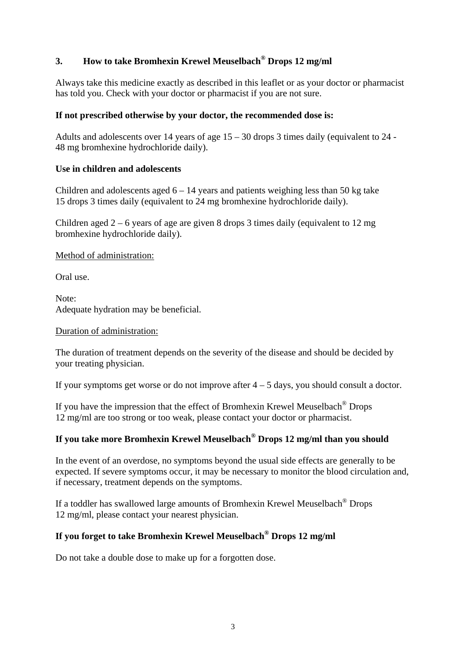## **3. How to take Bromhexin Krewel Meuselbach® Drops 12 mg/ml**

Always take this medicine exactly as described in this leaflet or as your doctor or pharmacist has told you. Check with your doctor or pharmacist if you are not sure.

#### **If not prescribed otherwise by your doctor, the recommended dose is:**

Adults and adolescents over 14 years of age  $15 - 30$  drops 3 times daily (equivalent to  $24$  -48 mg bromhexine hydrochloride daily).

#### **Use in children and adolescents**

Children and adolescents aged  $6 - 14$  years and patients weighing less than 50 kg take 15 drops 3 times daily (equivalent to 24 mg bromhexine hydrochloride daily).

Children aged 2 – 6 years of age are given 8 drops 3 times daily (equivalent to 12 mg bromhexine hydrochloride daily).

Method of administration:

Oral use.

Note: Adequate hydration may be beneficial.

#### Duration of administration:

The duration of treatment depends on the severity of the disease and should be decided by your treating physician.

If your symptoms get worse or do not improve after  $4 - 5$  days, you should consult a doctor.

If you have the impression that the effect of Bromhexin Krewel Meuselbach® Drops 12 mg/ml are too strong or too weak, please contact your doctor or pharmacist.

## **If you take more Bromhexin Krewel Meuselbach® Drops 12 mg/ml than you should**

In the event of an overdose, no symptoms beyond the usual side effects are generally to be expected. If severe symptoms occur, it may be necessary to monitor the blood circulation and, if necessary, treatment depends on the symptoms.

If a toddler has swallowed large amounts of Bromhexin Krewel Meuselbach® Drops 12 mg/ml, please contact your nearest physician.

## **If you forget to take Bromhexin Krewel Meuselbach® Drops 12 mg/ml**

Do not take a double dose to make up for a forgotten dose.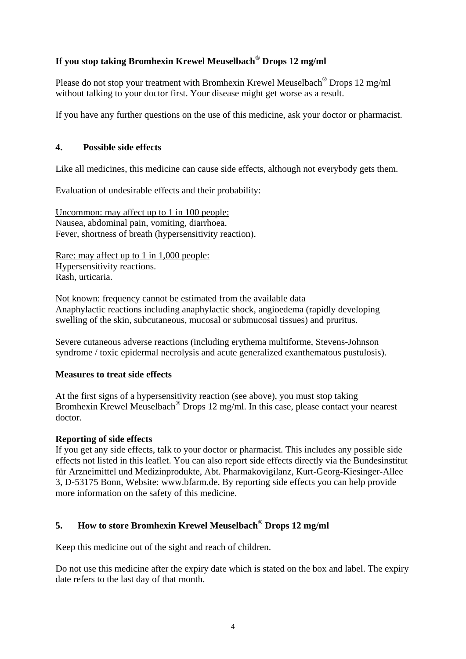## **If you stop taking Bromhexin Krewel Meuselbach® Drops 12 mg/ml**

Please do not stop your treatment with Bromhexin Krewel Meuselbach® Drops 12 mg/ml without talking to your doctor first. Your disease might get worse as a result.

If you have any further questions on the use of this medicine, ask your doctor or pharmacist.

#### **4. Possible side effects**

Like all medicines, this medicine can cause side effects, although not everybody gets them.

Evaluation of undesirable effects and their probability:

Uncommon: may affect up to 1 in 100 people: Nausea, abdominal pain, vomiting, diarrhoea. Fever, shortness of breath (hypersensitivity reaction).

Rare: may affect up to 1 in 1,000 people: Hypersensitivity reactions. Rash, urticaria.

Not known: frequency cannot be estimated from the available data Anaphylactic reactions including anaphylactic shock, angioedema (rapidly developing swelling of the skin, subcutaneous, mucosal or submucosal tissues) and pruritus.

Severe cutaneous adverse reactions (including erythema multiforme, Stevens-Johnson syndrome / toxic epidermal necrolysis and acute generalized exanthematous pustulosis).

#### **Measures to treat side effects**

At the first signs of a hypersensitivity reaction (see above), you must stop taking Bromhexin Krewel Meuselbach<sup>®</sup> Drops 12 mg/ml. In this case, please contact your nearest doctor.

#### **Reporting of side effects**

If you get any side effects, talk to your doctor or pharmacist. This includes any possible side effects not listed in this leaflet. You can also report side effects directly via the Bundesinstitut für Arzneimittel und Medizinprodukte, Abt. Pharmakovigilanz, Kurt-Georg-Kiesinger-Allee 3, D-53175 Bonn, Website: www.bfarm.de. By reporting side effects you can help provide more information on the safety of this medicine.

# **5. How to store Bromhexin Krewel Meuselbach® Drops 12 mg/ml**

Keep this medicine out of the sight and reach of children.

Do not use this medicine after the expiry date which is stated on the box and label. The expiry date refers to the last day of that month.